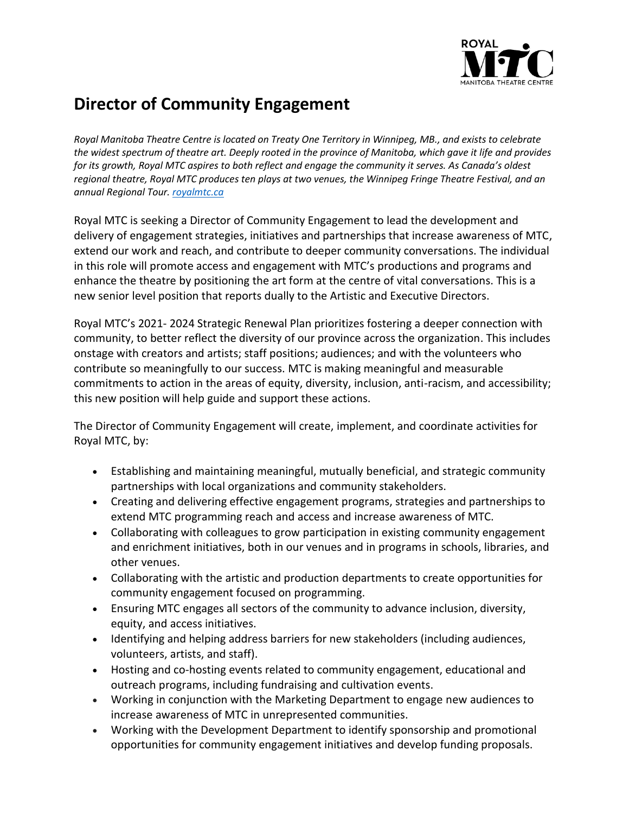

## **Director of Community Engagement**

*Royal Manitoba Theatre Centre is located on Treaty One Territory in Winnipeg, MB., and exists to celebrate the widest spectrum of theatre art. Deeply rooted in the province of Manitoba, which gave it life and provides for its growth, Royal MTC aspires to both reflect and engage the community it serves. As Canada's oldest regional theatre, Royal MTC produces ten plays at two venues, the Winnipeg Fringe Theatre Festival, and an annual Regional Tour. [royalmtc.ca](http://www.royalmtc.ca/)*

Royal MTC is seeking a Director of Community Engagement to lead the development and delivery of engagement strategies, initiatives and partnerships that increase awareness of MTC, extend our work and reach, and contribute to deeper community conversations. The individual in this role will promote access and engagement with MTC's productions and programs and enhance the theatre by positioning the art form at the centre of vital conversations. This is a new senior level position that reports dually to the Artistic and Executive Directors.

Royal MTC's 2021- 2024 Strategic Renewal Plan prioritizes fostering a deeper connection with community, to better reflect the diversity of our province across the organization. This includes onstage with creators and artists; staff positions; audiences; and with the volunteers who contribute so meaningfully to our success. MTC is making meaningful and measurable commitments to action in the areas of equity, diversity, inclusion, anti-racism, and accessibility; this new position will help guide and support these actions.

The Director of Community Engagement will create, implement, and coordinate activities for Royal MTC, by:

- Establishing and maintaining meaningful, mutually beneficial, and strategic community partnerships with local organizations and community stakeholders.
- Creating and delivering effective engagement programs, strategies and partnerships to extend MTC programming reach and access and increase awareness of MTC.
- Collaborating with colleagues to grow participation in existing community engagement and enrichment initiatives, both in our venues and in programs in schools, libraries, and other venues.
- Collaborating with the artistic and production departments to create opportunities for community engagement focused on programming.
- Ensuring MTC engages all sectors of the community to advance inclusion, diversity, equity, and access initiatives.
- Identifying and helping address barriers for new stakeholders (including audiences, volunteers, artists, and staff).
- Hosting and co-hosting events related to community engagement, educational and outreach programs, including fundraising and cultivation events.
- Working in conjunction with the Marketing Department to engage new audiences to increase awareness of MTC in unrepresented communities.
- Working with the Development Department to identify sponsorship and promotional opportunities for community engagement initiatives and develop funding proposals.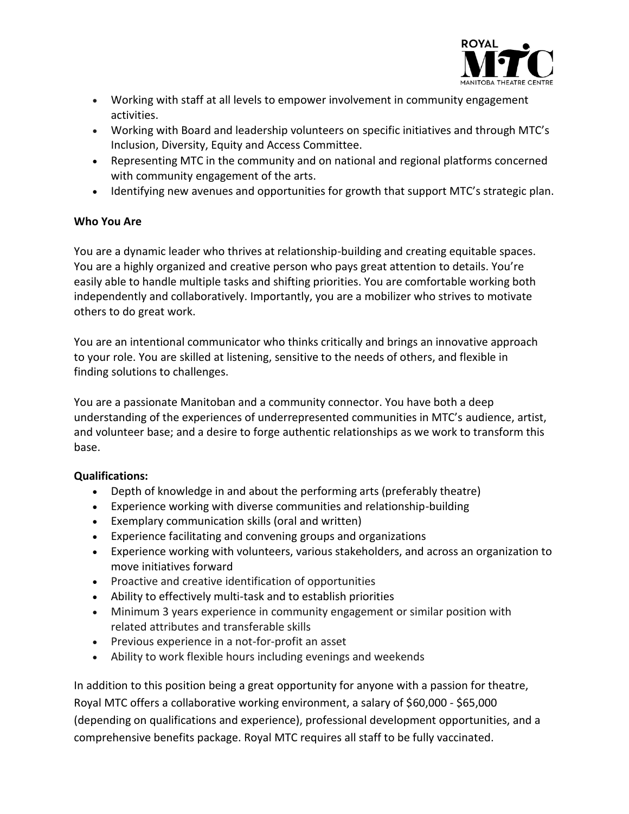

- Working with staff at all levels to empower involvement in community engagement activities.
- Working with Board and leadership volunteers on specific initiatives and through MTC's Inclusion, Diversity, Equity and Access Committee.
- Representing MTC in the community and on national and regional platforms concerned with community engagement of the arts.
- Identifying new avenues and opportunities for growth that support MTC's strategic plan.

## **Who You Are**

You are a dynamic leader who thrives at relationship-building and creating equitable spaces. You are a highly organized and creative person who pays great attention to details. You're easily able to handle multiple tasks and shifting priorities. You are comfortable working both independently and collaboratively. Importantly, you are a mobilizer who strives to motivate others to do great work.

You are an intentional communicator who thinks critically and brings an innovative approach to your role. You are skilled at listening, sensitive to the needs of others, and flexible in finding solutions to challenges.

You are a passionate Manitoban and a community connector. You have both a deep understanding of the experiences of underrepresented communities in MTC's audience, artist, and volunteer base; and a desire to forge authentic relationships as we work to transform this base.

## **Qualifications:**

- Depth of knowledge in and about the performing arts (preferably theatre)
- Experience working with diverse communities and relationship-building
- Exemplary communication skills (oral and written)
- Experience facilitating and convening groups and organizations
- Experience working with volunteers, various stakeholders, and across an organization to move initiatives forward
- Proactive and creative identification of opportunities
- Ability to effectively multi-task and to establish priorities
- Minimum 3 years experience in community engagement or similar position with related attributes and transferable skills
- Previous experience in a not-for-profit an asset
- Ability to work flexible hours including evenings and weekends

In addition to this position being a great opportunity for anyone with a passion for theatre, Royal MTC offers a collaborative working environment, a salary of \$60,000 - \$65,000 (depending on qualifications and experience), professional development opportunities, and a comprehensive benefits package. Royal MTC requires all staff to be fully vaccinated.